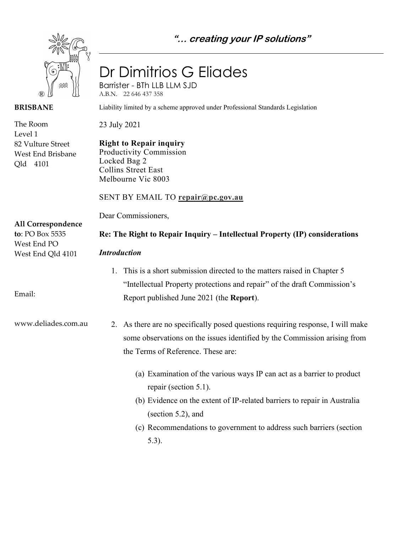**"… creating your IP solutions"**



### **BRISBANE**

The Room Level 1 82 Vulture Street West End Brisbane Qld 4101

# Dr Dimitrios G Eliades

Barrister - BTh LLB LLM SJD A.B.N. 22 646 437 358

Liability limited by a scheme approved under Professional Standards Legislation

23 July 2021

**Right to Repair inquiry** Productivity Commission Locked Bag 2 Collins Street East Melbourne Vic 8003

# SENT BY EMAIL TO **repair@pc.gov.au**

Dear Commissioners,

**All Correspondence to**: PO Box 5535 West End PO

West End Qld 4101

*Introduction*

1. This is a short submission directed to the matters raised in Chapter 5 "Intellectual Property protections and repair" of the draft Commission's Report published June 2021 (the **Report**).

**Re: The Right to Repair Inquiry – Intellectual Property (IP) considerations**

www.deliades.com.au

Email:

- 2. As there are no specifically posed questions requiring response, I will make some observations on the issues identified by the Commission arising from the Terms of Reference. These are:
	- (a) Examination of the various ways IP can act as a barrier to product repair (section 5.1).
	- (b) Evidence on the extent of IP-related barriers to repair in Australia (section 5.2), and
	- (c) Recommendations to government to address such barriers (section 5.3).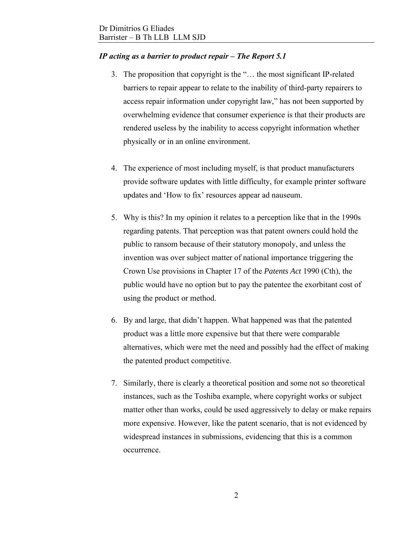## *IP acting as a barrier to product repair – The Report 5.1*

- 3. The proposition that copyright is the "… the most significant IP-related barriers to repair appear to relate to the inability of third-party repairers to access repair information under copyright law," has not been supported by overwhelming evidence that consumer experience is that their products are rendered useless by the inability to access copyright information whether physically or in an online environment.
- 4. The experience of most including myself, is that product manufacturers provide software updates with little difficulty, for example printer software updates and 'How to fix' resources appear ad nauseum.
- 5. Why is this? In my opinion it relates to a perception like that in the 1990s regarding patents. That perception was that patent owners could hold the public to ransom because of their statutory monopoly, and unless the invention was over subject matter of national importance triggering the Crown Use provisions in Chapter 17 of the *Patents Act* 1990 (Cth), the public would have no option but to pay the patentee the exorbitant cost of using the product or method.
- 6. By and large, that didn't happen. What happened was that the patented product was a little more expensive but that there were comparable alternatives, which were met the need and possibly had the effect of making the patented product competitive.
- 7. Similarly, there is clearly a theoretical position and some not so theoretical instances, such as the Toshiba example, where copyright works or subject matter other than works, could be used aggressively to delay or make repairs more expensive. However, like the patent scenario, that is not evidenced by widespread instances in submissions, evidencing that this is a common occurrence.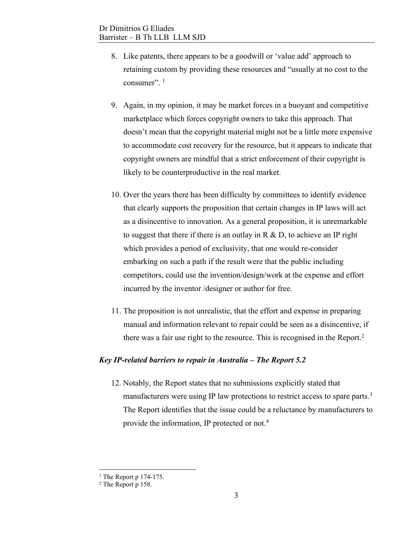- 8. Like patents, there appears to be a goodwill or 'value add' approach to retaining custom by providing these resources and "usually at no cost to the consumer".<sup>1</sup>
- 9. Again, in my opinion, it may be market forces in a buoyant and competitive marketplace which forces copyright owners to take this approach. That doesn't mean that the copyright material might not be a little more expensive to accommodate cost recovery for the resource, but it appears to indicate that copyright owners are mindful that a strict enforcement of their copyright is likely to be counterproductive in the real market.
- 10. Over the years there has been difficulty by committees to identify evidence that clearly supports the proposition that certain changes in IP laws will act as a disincentive to innovation. As a general proposition, it is unremarkable to suggest that there if there is an outlay in  $R \& D$ , to achieve an IP right which provides a period of exclusivity, that one would re-consider embarking on such a path if the result were that the public including competitors, could use the invention/design/work at the expense and effort incurred by the inventor /designer or author for free.
- 11. The proposition is not unrealistic, that the effort and expense in preparing manual and information relevant to repair could be seen as a disincentive, if there was a fair use right to the resource. This is recognised in the Report.<sup>2</sup>

### *Key IP-related barriers to repair in Australia – The Report 5.2*

12. Notably, the Report states that no submissions explicitly stated that manufacturers were using IP law protections to restrict access to spare parts.<sup>3</sup> The Report identifies that the issue could be a reluctance by manufacturers to provide the information, IP protected or not.<sup>4</sup>

 $<sup>1</sup>$  The Report p 174-175.</sup>

<sup>&</sup>lt;sup>2</sup> The Report p 158.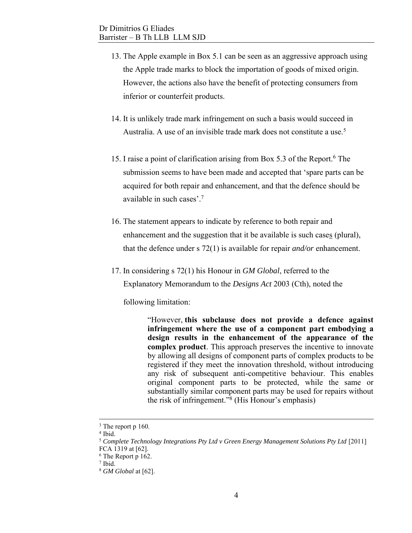- 13. The Apple example in Box 5.1 can be seen as an aggressive approach using the Apple trade marks to block the importation of goods of mixed origin. However, the actions also have the benefit of protecting consumers from inferior or counterfeit products.
- 14. It is unlikely trade mark infringement on such a basis would succeed in Australia. A use of an invisible trade mark does not constitute a use.<sup>5</sup>
- 15. I raise a point of clarification arising from Box 5.3 of the Report.<sup>6</sup> The submission seems to have been made and accepted that 'spare parts can be acquired for both repair and enhancement, and that the defence should be available in such cases'.<sup>7</sup>
- 16. The statement appears to indicate by reference to both repair and enhancement and the suggestion that it be available is such cases (plural), that the defence under s 72(1) is available for repair *and/or* enhancement.
- 17. In considering s 72(1) his Honour in *GM Global*, referred to the Explanatory Memorandum to the *Designs Act* 2003 (Cth), noted the

following limitation:

"However, **this subclause does not provide a defence against infringement where the use of a component part embodying a design results in the enhancement of the appearance of the complex product**. This approach preserves the incentive to innovate by allowing all designs of component parts of complex products to be registered if they meet the innovation threshold, without introducing any risk of subsequent anti-competitive behaviour. This enables original component parts to be protected, while the same or substantially similar component parts may be used for repairs without the risk of infringement." 8 (His Honour's emphasis)

<sup>&</sup>lt;sup>3</sup> The report p 160.

<sup>4</sup> Ibid.

<sup>5</sup> *Complete Technology Integrations Pty Ltd v Green Energy Management Solutions Pty Ltd* [2011] FCA 1319 at [62].

<sup>6</sup> The Report p 162.

<sup>7</sup> Ibid.

<sup>8</sup> *GM Global* at [62].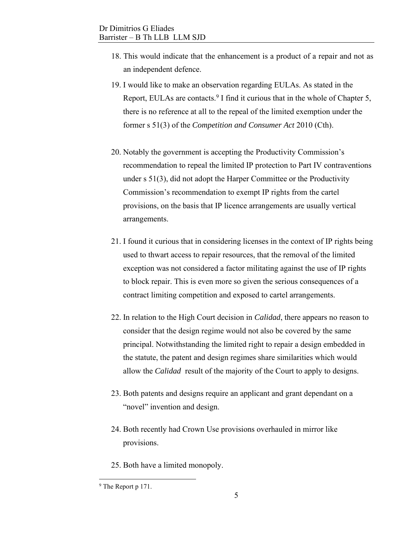- 18. This would indicate that the enhancement is a product of a repair and not as an independent defence.
- 19. I would like to make an observation regarding EULAs. As stated in the Report, EULAs are contacts.<sup>9</sup> I find it curious that in the whole of Chapter 5, there is no reference at all to the repeal of the limited exemption under the former s 51(3) of the *Competition and Consumer Act* 2010 (Cth).
- 20. Notably the government is accepting the Productivity Commission's recommendation to repeal the limited IP protection to Part IV contraventions under s 51(3), did not adopt the Harper Committee or the Productivity Commission's recommendation to exempt IP rights from the cartel provisions, on the basis that IP licence arrangements are usually vertical arrangements.
- 21. I found it curious that in considering licenses in the context of IP rights being used to thwart access to repair resources, that the removal of the limited exception was not considered a factor militating against the use of IP rights to block repair. This is even more so given the serious consequences of a contract limiting competition and exposed to cartel arrangements.
- 22. In relation to the High Court decision in *Calidad*, there appears no reason to consider that the design regime would not also be covered by the same principal. Notwithstanding the limited right to repair a design embedded in the statute, the patent and design regimes share similarities which would allow the *Calidad* result of the majority of the Court to apply to designs.
- 23. Both patents and designs require an applicant and grant dependant on a "novel" invention and design.
- 24. Both recently had Crown Use provisions overhauled in mirror like provisions.
- 25. Both have a limited monopoly.

<sup>&</sup>lt;sup>9</sup> The Report p 171.